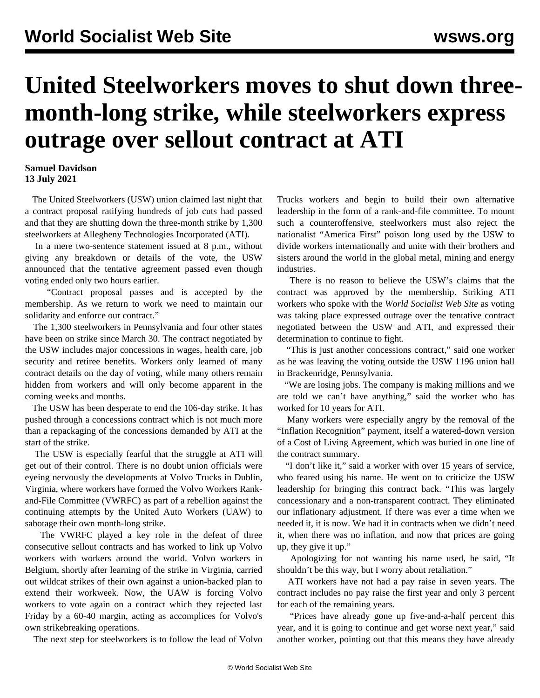## **United Steelworkers moves to shut down threemonth-long strike, while steelworkers express outrage over sellout contract at ATI**

## **Samuel Davidson 13 July 2021**

 The United Steelworkers (USW) union claimed last night that a contract proposal ratifying hundreds of job cuts had passed and that they are shutting down the three-month strike by 1,300 steelworkers at Allegheny Technologies Incorporated (ATI).

 In a mere two-sentence statement issued at 8 p.m., without giving any breakdown or details of the vote, the USW announced that the tentative agreement passed even though voting ended only two hours earlier.

 "Contract proposal passes and is accepted by the membership. As we return to work we need to maintain our solidarity and enforce our contract."

 The 1,300 steelworkers in Pennsylvania and four other states have been on strike since March 30. The contract negotiated by the USW includes major concessions in wages, health care, job security and retiree benefits. Workers only learned of many contract details on the day of voting, while many others remain hidden from workers and will only become apparent in the coming weeks and months.

 The USW has been desperate to end the 106-day strike. It has pushed through a concessions contract which is not much more than a repackaging of the concessions demanded by ATI at the start of the strike.

 The USW is especially fearful that the struggle at ATI will get out of their control. There is no doubt union officials were eyeing nervously the developments at Volvo Trucks in Dublin, Virginia, where workers have formed the Volvo Workers Rankand-File Committee (VWRFC) as part of a rebellion against the continuing attempts by the United Auto Workers (UAW) to sabotage their own month-long strike.

 The VWRFC played a key role in the defeat of three consecutive sellout contracts and has worked to link up Volvo workers with workers around the world. Volvo workers in Belgium, shortly after learning of the strike in Virginia, carried out wildcat strikes of their own against a union-backed plan to extend their workweek. Now, the UAW is forcing Volvo workers to vote again on a contract which they rejected last Friday by a 60-40 margin, acting as accomplices for Volvo's own strikebreaking operations.

The next step for steelworkers is to follow the lead of Volvo

Trucks workers and begin to build their own alternative leadership in the form of a rank-and-file committee. To mount such a counteroffensive, steelworkers must also reject the nationalist "America First" poison long used by the USW to divide workers internationally and unite with their brothers and sisters around the world in the global metal, mining and energy industries.

 There is no reason to believe the USW's claims that the contract was approved by the membership. Striking ATI workers who spoke with the *World Socialist Web Site* as voting was taking place expressed outrage over the tentative contract negotiated between the USW and ATI, and expressed their determination to continue to fight.

 "This is just another concessions contract," said one worker as he was leaving the voting outside the USW 1196 union hall in Brackenridge, Pennsylvania.

 "We are losing jobs. The company is making millions and we are told we can't have anything," said the worker who has worked for 10 years for ATI.

 Many workers were especially angry by the removal of the "Inflation Recognition" payment, itself a watered-down version of a Cost of Living Agreement, which was buried in one line of the contract summary.

 "I don't like it," said a worker with over 15 years of service, who feared using his name. He went on to criticize the USW leadership for bringing this contract back. "This was largely concessionary and a non-transparent contract. They eliminated our inflationary adjustment. If there was ever a time when we needed it, it is now. We had it in contracts when we didn't need it, when there was no inflation, and now that prices are going up, they give it up."

 Apologizing for not wanting his name used, he said, "It shouldn't be this way, but I worry about retaliation."

 ATI workers have not had a pay raise in seven years. The contract includes no pay raise the first year and only 3 percent for each of the remaining years.

 "Prices have already gone up five-and-a-half percent this year, and it is going to continue and get worse next year," said another worker, pointing out that this means they have already